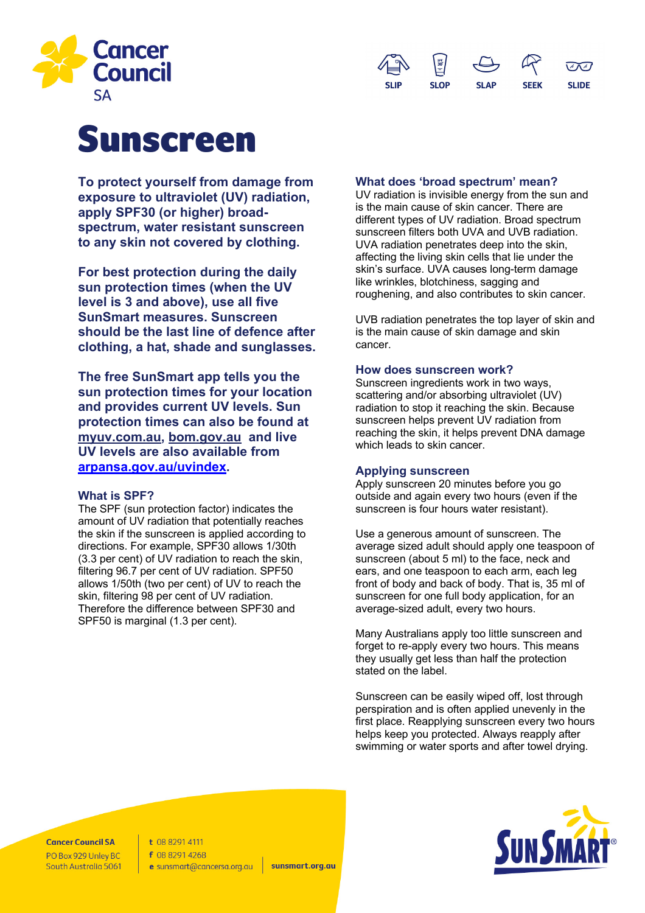



# Sunscreen

**To protect yourself from damage from exposure to ultraviolet (UV) radiation, apply SPF30 (or higher) broadspectrum, water resistant sunscreen to any skin not covered by clothing.** 

**For best protection during the daily sun protection times (when the UV level is 3 and above), use all five SunSmart measures. Sunscreen should be the last line of defence after clothing, a hat, shade and sunglasses.**

**The free SunSmart app tells you the sun protection times for your location and provides current UV levels. Sun protection times can also be found at myuv.com.au, bom.gov.au and live UV levels are also available from arpansa.gov.au/uvindex.**

## **What is SPF?**

The SPF (sun protection factor) indicates the amount of UV radiation that potentially reaches the skin if the sunscreen is applied according to directions. For example, SPF30 allows 1/30th (3.3 per cent) of UV radiation to reach the skin, filtering 96.7 per cent of UV radiation. SPF50 allows 1/50th (two per cent) of UV to reach the skin, filtering 98 per cent of UV radiation. Therefore the difference between SPF30 and SPF50 is marginal (1.3 per cent).

## **What does 'broad spectrum' mean?**

UV radiation is invisible energy from the sun and is the main cause of skin cancer. There are different types of UV radiation. Broad spectrum sunscreen filters both UVA and UVB radiation. UVA radiation penetrates deep into the skin, affecting the living skin cells that lie under the skin's surface. UVA causes long-term damage like wrinkles, blotchiness, sagging and roughening, and also contributes to skin cancer.

UVB radiation penetrates the top layer of skin and is the main cause of skin damage and skin cancer.

## **How does sunscreen work?**

Sunscreen ingredients work in two ways, scattering and/or absorbing ultraviolet (UV) radiation to stop it reaching the skin. Because sunscreen helps prevent UV radiation from reaching the skin, it helps prevent DNA damage which leads to skin cancer.

## **Applying sunscreen**

Apply sunscreen 20 minutes before you go outside and again every two hours (even if the sunscreen is four hours water resistant).

Use a generous amount of sunscreen. The average sized adult should apply one teaspoon of sunscreen (about 5 ml) to the face, neck and ears, and one teaspoon to each arm, each leg front of body and back of body. That is, 35 ml of sunscreen for one full body application, for an average-sized adult, every two hours.

Many Australians apply too little sunscreen and forget to re-apply every two hours. This means they usually get less than half the protection stated on the label.

Sunscreen can be easily wiped off, lost through perspiration and is often applied unevenly in the first place. Reapplying sunscreen every two hours helps keep you protected. Always reapply after swimming or water sports and after towel drying.

**Cancer Council SA** PO Box 929 Unley BC South Australia 5061 t 08 8291 4111 f 08 8291 4268 e sunsmart@cancersa.org.au

sunsmart.org.au